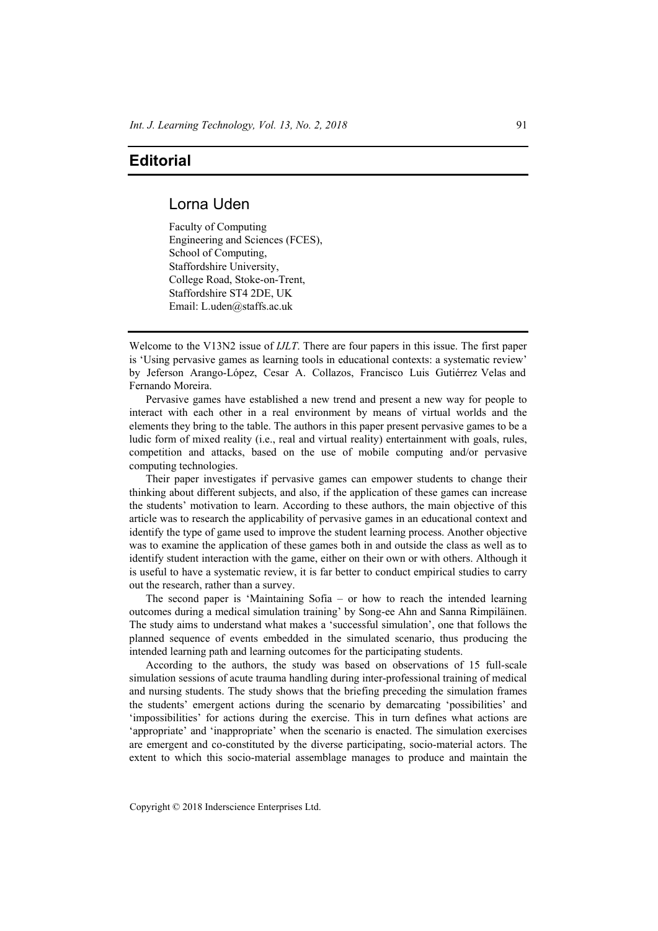## **Editorial**

## Lorna Uden

Faculty of Computing Engineering and Sciences (FCES), School of Computing, Staffordshire University, College Road, Stoke-on-Trent, Staffordshire ST4 2DE, UK Email: L.uden@staffs.ac.uk

Welcome to the V13N2 issue of *IJLT*. There are four papers in this issue. The first paper is 'Using pervasive games as learning tools in educational contexts: a systematic review' by Jeferson Arango-López, Cesar A. Collazos, Francisco Luis Gutiérrez Velas and Fernando Moreira.

Pervasive games have established a new trend and present a new way for people to interact with each other in a real environment by means of virtual worlds and the elements they bring to the table. The authors in this paper present pervasive games to be a ludic form of mixed reality (i.e., real and virtual reality) entertainment with goals, rules, competition and attacks, based on the use of mobile computing and/or pervasive computing technologies.

Their paper investigates if pervasive games can empower students to change their thinking about different subjects, and also, if the application of these games can increase the students' motivation to learn. According to these authors, the main objective of this article was to research the applicability of pervasive games in an educational context and identify the type of game used to improve the student learning process. Another objective was to examine the application of these games both in and outside the class as well as to identify student interaction with the game, either on their own or with others. Although it is useful to have a systematic review, it is far better to conduct empirical studies to carry out the research, rather than a survey.

The second paper is 'Maintaining Sofia – or how to reach the intended learning outcomes during a medical simulation training' by Song-ee Ahn and Sanna Rimpiläinen. The study aims to understand what makes a 'successful simulation', one that follows the planned sequence of events embedded in the simulated scenario, thus producing the intended learning path and learning outcomes for the participating students.

According to the authors, the study was based on observations of 15 full-scale simulation sessions of acute trauma handling during inter-professional training of medical and nursing students. The study shows that the briefing preceding the simulation frames the students' emergent actions during the scenario by demarcating 'possibilities' and 'impossibilities' for actions during the exercise. This in turn defines what actions are 'appropriate' and 'inappropriate' when the scenario is enacted. The simulation exercises are emergent and co-constituted by the diverse participating, socio-material actors. The extent to which this socio-material assemblage manages to produce and maintain the